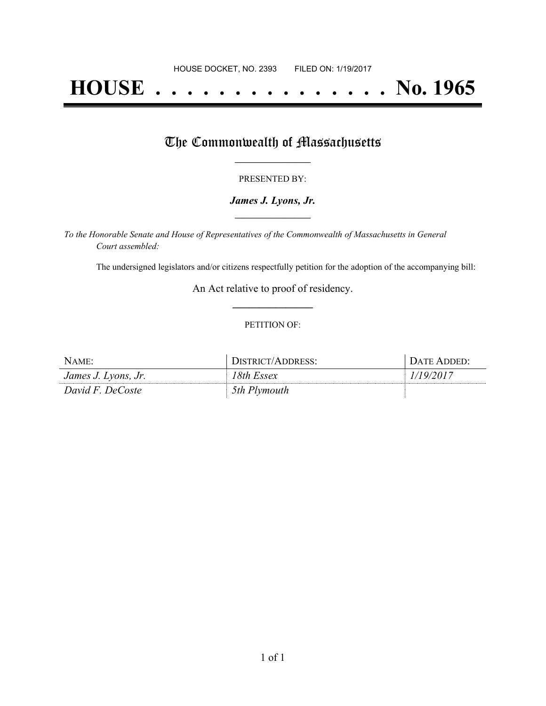# **HOUSE . . . . . . . . . . . . . . . No. 1965**

## The Commonwealth of Massachusetts

#### PRESENTED BY:

#### *James J. Lyons, Jr.* **\_\_\_\_\_\_\_\_\_\_\_\_\_\_\_\_\_**

*To the Honorable Senate and House of Representatives of the Commonwealth of Massachusetts in General Court assembled:*

The undersigned legislators and/or citizens respectfully petition for the adoption of the accompanying bill:

An Act relative to proof of residency. **\_\_\_\_\_\_\_\_\_\_\_\_\_\_\_**

#### PETITION OF:

| NAME:               | DISTRICT/ADDRESS: | DATE ADDED: |
|---------------------|-------------------|-------------|
| James J. Lyons, Jr. | 18th Essex        | 1/19/2017   |
| David F. DeCoste    | 5th Plymouth      |             |